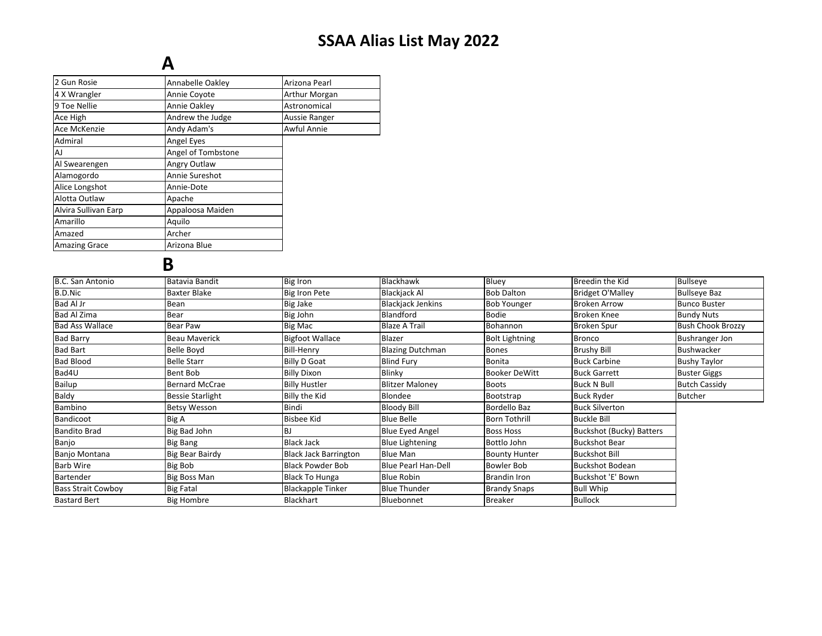## SSAA Alias List May 2022

## A

| 2 Gun Rosie          | Annabelle Oakley   | Arizona Pearl |
|----------------------|--------------------|---------------|
| 4 X Wrangler         | Annie Coyote       | Arthur Morgan |
| 9 Toe Nellie         | Annie Oakley       | Astronomical  |
| Ace High             | Andrew the Judge   | Aussie Ranger |
| Ace McKenzie         | Andy Adam's        | Awful Annie   |
| Admiral              | <b>Angel Eyes</b>  |               |
| AJ                   | Angel of Tombstone |               |
| Al Swearengen        | Angry Outlaw       |               |
| Alamogordo           | Annie Sureshot     |               |
| Alice Longshot       | Annie-Dote         |               |
| Alotta Outlaw        | Apache             |               |
| Alvira Sullivan Earp | Appaloosa Maiden   |               |
| Amarillo             | Aquilo             |               |
| Amazed               | Archer             |               |
| <b>Amazing Grace</b> | Arizona Blue       |               |
|                      |                    |               |

## B

| B.C. San Antonio          | Batavia Bandit          | <b>Big Iron</b>              | Blackhawk                  | Bluey                 | Breedin the Kid                 | <b>Bullseye</b>          |
|---------------------------|-------------------------|------------------------------|----------------------------|-----------------------|---------------------------------|--------------------------|
| B.D.Nic                   | <b>Baxter Blake</b>     | <b>Big Iron Pete</b>         | <b>Blackjack Al</b>        | <b>Bob Dalton</b>     | <b>Bridget O'Malley</b>         | <b>Bullseye Baz</b>      |
| Bad Al Jr                 | Bean                    | <b>Big Jake</b>              | <b>Blackjack Jenkins</b>   | <b>Bob Younger</b>    | <b>Broken Arrow</b>             | <b>Bunco Buster</b>      |
| Bad Al Zima               | Bear                    | Big John                     | Blandford                  | <b>Bodie</b>          | <b>Broken Knee</b>              | <b>Bundy Nuts</b>        |
| <b>Bad Ass Wallace</b>    | Bear Paw                | Big Mac                      | <b>Blaze A Trail</b>       | Bohannon              | <b>Broken Spur</b>              | <b>Bush Chook Brozzy</b> |
| <b>Bad Barry</b>          | Beau Maverick           | <b>Bigfoot Wallace</b>       | Blazer                     | <b>Bolt Lightning</b> | <b>Bronco</b>                   | <b>Bushranger Jon</b>    |
| <b>Bad Bart</b>           | Belle Boyd              | <b>Bill-Henry</b>            | <b>Blazing Dutchman</b>    | <b>Bones</b>          | <b>Brushy Bill</b>              | <b>Bushwacker</b>        |
| <b>Bad Blood</b>          | <b>Belle Starr</b>      | <b>Billy D Goat</b>          | <b>Blind Fury</b>          | <b>Bonita</b>         | <b>Buck Carbine</b>             | <b>Bushy Taylor</b>      |
| Bad4U                     | Bent Bob                | <b>Billy Dixon</b>           | Blinky                     | <b>Booker DeWitt</b>  | <b>Buck Garrett</b>             | <b>Buster Giggs</b>      |
| Bailup                    | <b>Bernard McCrae</b>   | <b>Billy Hustler</b>         | <b>Blitzer Malonev</b>     | <b>Boots</b>          | <b>Buck N Bull</b>              | <b>Butch Cassidy</b>     |
| Baldy                     | <b>Bessie Starlight</b> | Billy the Kid                | Blondee                    | Bootstrap             | <b>Buck Ryder</b>               | <b>Butcher</b>           |
| Bambino                   | <b>Betsy Wesson</b>     | Bindi                        | <b>Bloody Bill</b>         | Bordello Baz          | <b>Buck Silverton</b>           |                          |
| Bandicoot                 | Big A                   | <b>Bisbee Kid</b>            | <b>Blue Belle</b>          | <b>Born Tothrill</b>  | <b>Buckle Bill</b>              |                          |
| <b>Bandito Brad</b>       | Big Bad John            | <b>BJ</b>                    | Blue Eyed Angel            | <b>Boss Hoss</b>      | <b>Buckshot (Bucky) Batters</b> |                          |
| Banjo                     | Big Bang                | <b>Black Jack</b>            | <b>Blue Lightening</b>     | Bottlo John           | <b>Buckshot Bear</b>            |                          |
| Banjo Montana             | <b>Big Bear Bairdy</b>  | <b>Black Jack Barrington</b> | Blue Man                   | <b>Bounty Hunter</b>  | <b>Buckshot Bill</b>            |                          |
| <b>Barb Wire</b>          | <b>Big Bob</b>          | Black Powder Bob             | <b>Blue Pearl Han-Dell</b> | Bowler Bob            | <b>Buckshot Bodean</b>          |                          |
| Bartender                 | <b>Big Boss Man</b>     | <b>Black To Hunga</b>        | <b>Blue Robin</b>          | <b>Brandin Iron</b>   | Buckshot 'E' Bown               |                          |
| <b>Bass Strait Cowboy</b> | <b>Big Fatal</b>        | <b>Blackapple Tinker</b>     | <b>Blue Thunder</b>        | <b>Brandy Snaps</b>   | <b>Bull Whip</b>                |                          |
| <b>Bastard Bert</b>       | <b>Big Hombre</b>       | <b>Blackhart</b>             | Bluebonnet                 | <b>Breaker</b>        | <b>Bullock</b>                  |                          |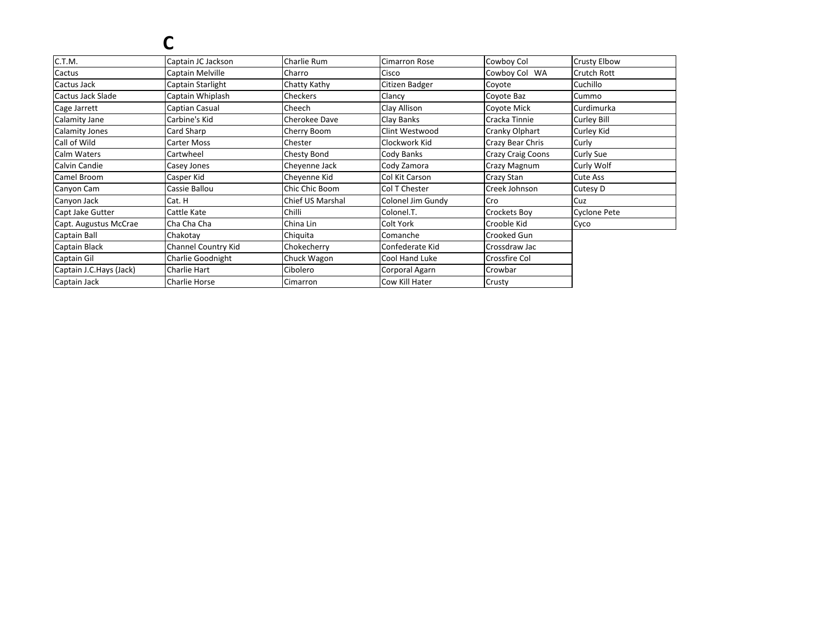#### C.T.M. Captain JC Jackson Charlie RumCimarron Rose Cowboy Col Crusty Elbow<br>Cisco Cowboy Col WA Crutch Rott CactusCaptain Melville<br>Cactus Jack Captain Starlight CharroCowboy Col WA<br>Coyote Crutch Rott Captain Starlight Chatty KathyCitizen Badger<br>
Clancy Clancy Coyote Baz CuchilloCummo Cactus Jack Slade Captain Whiplashh Checkers Clancy Clancy Coyote Baz Cummo Curdimurka Cage Jarrett Captian Casual Cheech Clay Allison Coyote Mick Curdimurka Calamity Jane Carbine's Kidd Cherokee Dave Clay Banks Cracka Tinnie Curley Bill Calamity Jones Card SharpCard Sharp Card Sharp Cherry Boom<br>Carter Moss Chester Clint Westwood Cranky Olphart Curley Kid<br>
Clockwork Kid Crazy Bear Chris Curly Call of Wildd Carter Moss Contester Chester Chester Clockwork Kid Crazy Bear Chris Curly Calm WatersCartwheel Chesty Bond<br>
Casey Jones Casey Lones Cody Banks Crazy Craig Coons Curly Sue<br>
Cheyenne Jack Cody Zamora Crazy Magnum Curly Wol Calvin Candiee Casey Jones Casewanne John Cheyenne Jack Cody Zamora Crazy Magnum Curly Wolf<br>Cute Ass Camel Broom Casper Kid Cheyenne Kid Col Kit Carson Crazy Stan Cute Ass Canyon Cam Cassie Ballou Chic Chic Boom Col T Chester Creek Johnson Cutesy D Canyon Jack Cat. HChief US Marshal Colonel Jim Gundy Cro<br>
Chilli Colonel.T. Crockets Boy Cyclone Pete Capt Jake Gutter Cattle Katee Chilli Colonel.T. Colonel.T. Crockets Boy Cyclone Pete Capt. Augustus McCrae Cha Cha Cha China LinColt York Crooble Kid Cyco Captain Ball ChakotayChiquita<br>Chokecherry Comanche Crooked GunCrossdraw Jac Captain Black Channel Country KidConfederate Kid Crossdraw Jacob<br>Cool Hand Luke Crossfire Col Captain Gil Charlie Goodnight Chuck WagonCool Hand Luke Crossfire<br>
Corporal Agarn Crowbar Captain J.C.Hays (Jack) Charlie Hart CiboleroCorporal Agarn Crowbard Crowbard<br>
Cow Kill Hater Crusty Captain Jack Charlie Horse CimarronCow Kill Hater C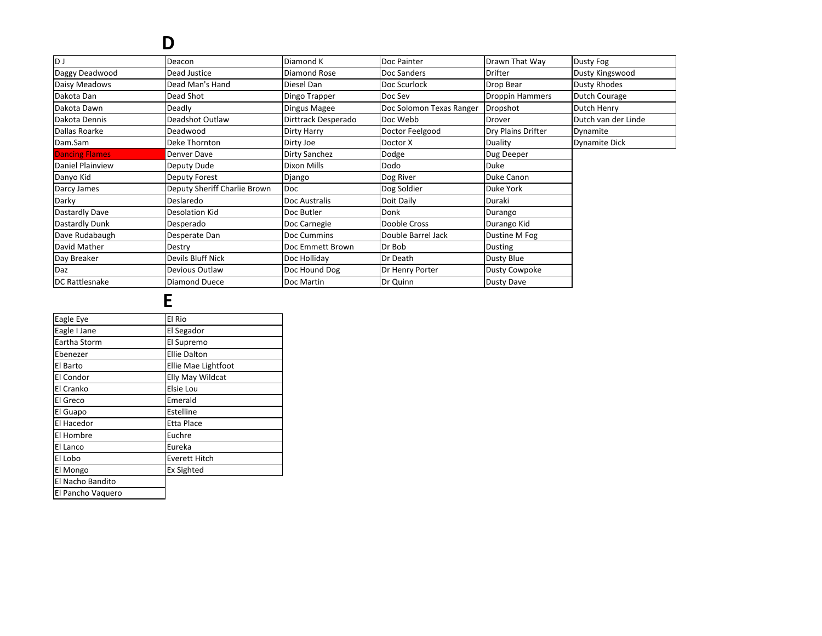## D

| D J                   | Deacon                       | Diamond K           | Doc Painter              | Drawn That Way         | Dusty Fog            |
|-----------------------|------------------------------|---------------------|--------------------------|------------------------|----------------------|
| Daggy Deadwood        | Dead Justice                 | Diamond Rose        | Doc Sanders              | Drifter                | Dusty Kingswood      |
| Daisy Meadows         | Dead Man's Hand              | Diesel Dan          | Doc Scurlock             | Drop Bear              | <b>Dusty Rhodes</b>  |
| Dakota Dan            | Dead Shot                    | Dingo Trapper       | Doc Sev                  | <b>Droppin Hammers</b> | Dutch Courage        |
| Dakota Dawn           | Deadly                       | Dingus Magee        | Doc Solomon Texas Ranger | Dropshot               | Dutch Henry          |
| Dakota Dennis         | Deadshot Outlaw              | Dirttrack Desperado | Doc Webb                 | Drover                 | Dutch van der Linde  |
| Dallas Roarke         | Deadwood                     | Dirty Harry         | Doctor Feelgood          | Dry Plains Drifter     | Dynamite             |
| Dam.Sam               | Deke Thornton                | Dirty Joe           | Doctor X                 | Duality                | <b>Dynamite Dick</b> |
| <b>Dancing Flames</b> | Denver Dave                  | Dirty Sanchez       | Dodge                    | Dug Deeper             |                      |
| Daniel Plainview      | Deputy Dude                  | Dixon Mills         | Dodo                     | <b>Duke</b>            |                      |
| Danyo Kid             | Deputy Forest                | Django              | Dog River                | Duke Canon             |                      |
| Darcy James           | Deputy Sheriff Charlie Brown | Doc                 | Dog Soldier              | Duke York              |                      |
| Darky                 | Deslaredo                    | Doc Australis       | Doit Daily               | Duraki                 |                      |
| Dastardly Dave        | Desolation Kid               | Doc Butler          | Donk                     | Durango                |                      |
| Dastardly Dunk        | Desperado                    | Doc Carnegie        | Dooble Cross             | Durango Kid            |                      |
| Dave Rudabaugh        | Desperate Dan                | Doc Cummins         | Double Barrel Jack       | Dustine M Fog          |                      |
| David Mather          | Destry                       | Doc Emmett Brown    | Dr Bob                   | Dusting                |                      |
| Day Breaker           | <b>Devils Bluff Nick</b>     | Doc Holliday        | Dr Death                 | Dusty Blue             |                      |
| Daz                   | Devious Outlaw               | Doc Hound Dog       | Dr Henry Porter          | Dusty Cowpoke          |                      |
| <b>DC Rattlesnake</b> | Diamond Duece                | Doc Martin          | Dr Quinn                 | Dusty Dave             |                      |
|                       |                              |                     |                          |                        |                      |

### E

| Eagle Eye         | El Rio                  |
|-------------------|-------------------------|
| Eagle I Jane      | El Segador              |
| Eartha Storm      | El Supremo              |
| Ebenezer          | <b>Ellie Dalton</b>     |
| El Barto          | Ellie Mae Lightfoot     |
| El Condor         | <b>Elly May Wildcat</b> |
| El Cranko         | Elsie Lou               |
| El Greco          | Emerald                 |
| El Guapo          | Estelline               |
| El Hacedor        | <b>Etta Place</b>       |
| El Hombre         | Euchre                  |
| El Lanco          | Eureka                  |
| El Lobo           | <b>Everett Hitch</b>    |
| El Mongo          | <b>Ex Sighted</b>       |
| El Nacho Bandito  |                         |
| El Pancho Vaquero |                         |
|                   |                         |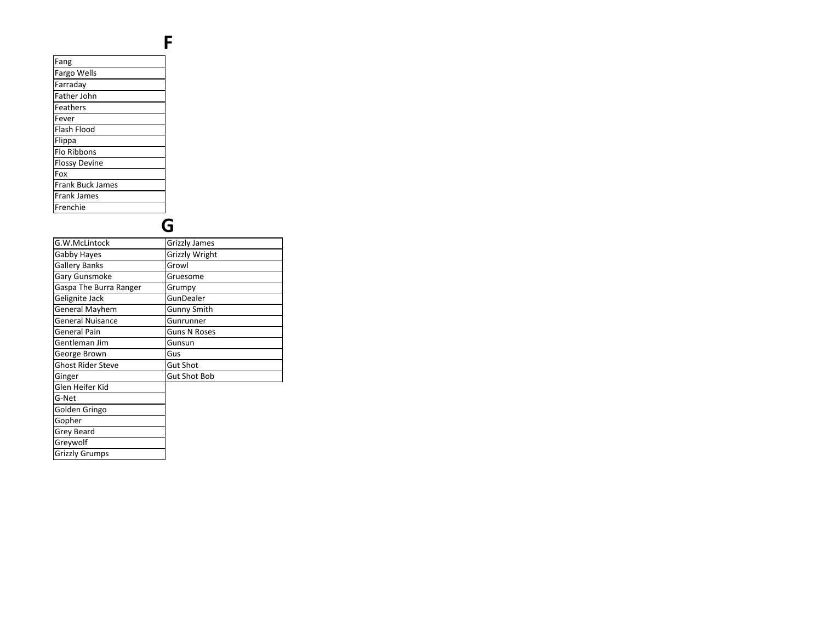#### Fang Fargo Wells Farraday Father John**Feathers** Fever Flash Flood**Flippa**  Flo Ribbons Flossy DevineFox Frank Buck JamesFrank JamesFrenchie

#### G

F

| G.W.McLintock            | <b>Grizzly James</b> |
|--------------------------|----------------------|
| Gabby Hayes              | Grizzly Wright       |
| <b>Gallery Banks</b>     | Growl                |
| Gary Gunsmoke            | Gruesome             |
| Gaspa The Burra Ranger   | Grumpy               |
| Gelignite Jack           | GunDealer            |
| General Mayhem           | <b>Gunny Smith</b>   |
| <b>General Nuisance</b>  | Gunrunner            |
| General Pain             | <b>Guns N Roses</b>  |
| Gentleman Jim            | Gunsun               |
| George Brown             | Gus                  |
| <b>Ghost Rider Steve</b> | <b>Gut Shot</b>      |
| Ginger                   | <b>Gut Shot Bob</b>  |
| Glen Heifer Kid          |                      |
| G-Net                    |                      |
| Golden Gringo            |                      |
| Gopher                   |                      |
| Grey Beard               |                      |
| Greywolf                 |                      |
| <b>Grizzly Grumps</b>    |                      |
|                          |                      |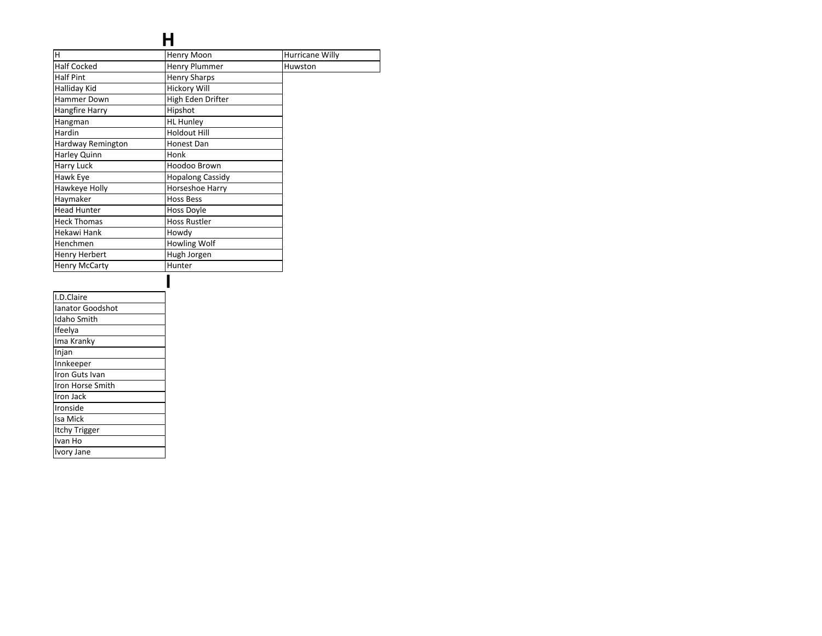#### H

| H                       | Henry Moon              | Hurricane Willy |
|-------------------------|-------------------------|-----------------|
| <b>Half Cocked</b>      | <b>Henry Plummer</b>    | Huwston         |
| <b>Half Pint</b>        | <b>Henry Sharps</b>     |                 |
| Halliday Kid            | <b>Hickory Will</b>     |                 |
| Hammer Down             | High Eden Drifter       |                 |
| Hangfire Harry          | Hipshot                 |                 |
| Hangman                 | <b>HL Hunley</b>        |                 |
| Hardin                  | <b>Holdout Hill</b>     |                 |
| Hardway Remington       | Honest Dan              |                 |
| Harley Quinn            | Honk                    |                 |
| Harry Luck              | Hoodoo Brown            |                 |
| Hawk Eye                | <b>Hopalong Cassidy</b> |                 |
| Hawkeye Holly           | Horseshoe Harry         |                 |
| Haymaker                | <b>Hoss Bess</b>        |                 |
| <b>Head Hunter</b>      | Hoss Doyle              |                 |
| <b>Heck Thomas</b>      | <b>Hoss Rustler</b>     |                 |
| Hekawi Hank             | Howdy                   |                 |
| Henchmen                | Howling Wolf            |                 |
| Henry Herbert           | Hugh Jorgen             |                 |
| <b>Henry McCarty</b>    | Hunter                  |                 |
|                         |                         |                 |
| I.D.Claire              |                         |                 |
| <b>Ianator Goodshot</b> |                         |                 |
| Idaho Smith             |                         |                 |
| Ifeelya                 |                         |                 |
| Ima Kranky              |                         |                 |
| Injan                   |                         |                 |
| Innkeeper               |                         |                 |
| Iron Guts Ivan          |                         |                 |
| Iron Horse Smith        |                         |                 |
| Iron Jack               |                         |                 |
| Ironside                |                         |                 |
| Isa Mick                |                         |                 |
| Itchy Trigger           |                         |                 |
| Ivan Ho                 |                         |                 |
| Ivory Jane              |                         |                 |
|                         |                         |                 |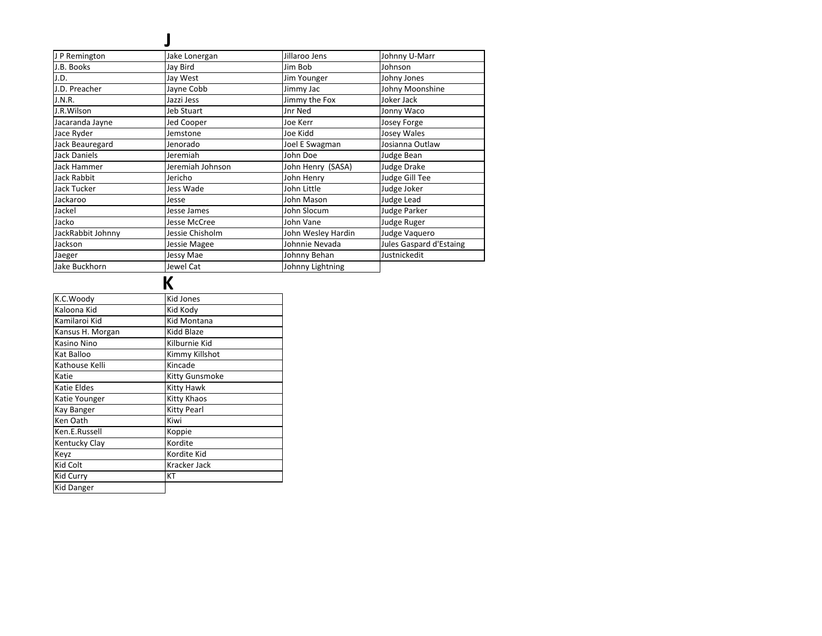| J P Remington       | Jake Lonergan    | Jillaroo Jens      | Johnny U-Marr           |
|---------------------|------------------|--------------------|-------------------------|
| J.B. Books          | Jay Bird         | Jim Bob            | Johnson                 |
| J.D.                | Jay West         | Jim Younger        | Johny Jones             |
| J.D. Preacher       | Jayne Cobb       | Jimmy Jac          | Johny Moonshine         |
| J.N.R.              | Jazzi Jess       | Jimmy the Fox      | Joker Jack              |
| J.R.Wilson          | Jeb Stuart       | Jnr Ned            | Jonny Waco              |
| Jacaranda Jayne     | Jed Cooper       | Joe Kerr           | Josey Forge             |
| Jace Ryder          | Jemstone         | Joe Kidd           | Josey Wales             |
| Jack Beauregard     | Jenorado         | Joel E Swagman     | Josianna Outlaw         |
| <b>Jack Daniels</b> | Jeremiah         | John Doe           | Judge Bean              |
| Jack Hammer         | Jeremiah Johnson | John Henry (SASA)  | Judge Drake             |
| <b>Jack Rabbit</b>  | Jericho          | John Henry         | Judge Gill Tee          |
| Jack Tucker         | Jess Wade        | John Little        | Judge Joker             |
| Jackaroo            | Jesse            | John Mason         | Judge Lead              |
| Jackel              | Jesse James      | John Slocum        | <b>Judge Parker</b>     |
| Jacko               | Jesse McCree     | John Vane          | Judge Ruger             |
| JackRabbit Johnny   | Jessie Chisholm  | John Wesley Hardin | Judge Vaquero           |
| Jackson             | Jessie Magee     | Johnnie Nevada     | Jules Gaspard d'Estaing |
| Jaeger              | Jessy Mae        | Johnny Behan       | Justnickedit            |
| Jake Buckhorn       | Jewel Cat        | Johnny Lightning   |                         |

## $\overline{\mathbf{K}}$

| K.C.Woody         | <b>Kid Jones</b> |  |
|-------------------|------------------|--|
| Kaloona Kid       | Kid Kody         |  |
| Kamilaroi Kid     | Kid Montana      |  |
| Kansus H. Morgan  | Kidd Blaze       |  |
| Kasino Nino       | Kilburnie Kid    |  |
| Kat Balloo        | Kimmy Killshot   |  |
| Kathouse Kelli    | Kincade          |  |
| Katie             | Kitty Gunsmoke   |  |
| Katie Eldes       | Kitty Hawk       |  |
| Katie Younger     | Kitty Khaos      |  |
| Kay Banger        | Kitty Pearl      |  |
| Ken Oath          | Kiwi             |  |
| Ken.E.Russell     | Koppie           |  |
| Kentucky Clay     | Kordite          |  |
| Keyz              | Kordite Kid      |  |
| Kid Colt          | Kracker Jack     |  |
| Kid Curry         | КT               |  |
| <b>Kid Danger</b> |                  |  |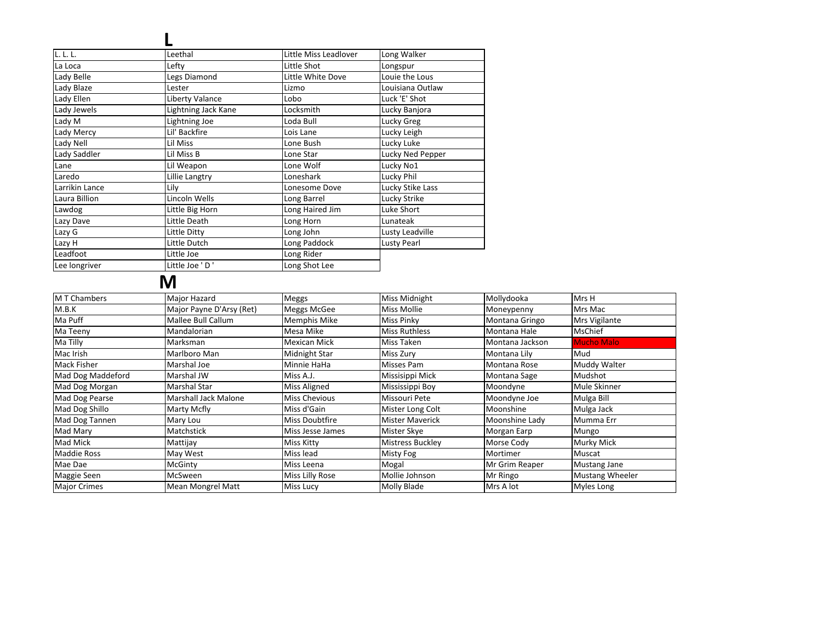| L. L. L.       | Leethal             | Little Miss Leadlover | Long Walker      |
|----------------|---------------------|-----------------------|------------------|
| La Loca        | Lefty               | Little Shot           | Longspur         |
| Lady Belle     | Legs Diamond        | Little White Dove     | Louie the Lous   |
| Lady Blaze     | Lester              | Lizmo                 | Louisiana Outlaw |
| Lady Ellen     | Liberty Valance     | Lobo                  | Luck 'E' Shot    |
| Lady Jewels    | Lightning Jack Kane | Locksmith             | Lucky Banjora    |
| Lady M         | Lightning Joe       | Loda Bull             | Lucky Greg       |
| Lady Mercy     | Lil' Backfire       | Lois Lane             | Lucky Leigh      |
| Lady Nell      | Lil Miss            | Lone Bush             | Lucky Luke       |
| Lady Saddler   | Lil Miss B          | Lone Star             | Lucky Ned Pepper |
| Lane           | Lil Weapon          | Lone Wolf             | Lucky No1        |
| Laredo         | Lillie Langtry      | Loneshark             | Lucky Phil       |
| Larrikin Lance | Lily                | Lonesome Dove         | Lucky Stike Lass |
| Laura Billion  | Lincoln Wells       | Long Barrel           | Lucky Strike     |
| Lawdog         | Little Big Horn     | Long Haired Jim       | Luke Short       |
| Lazy Dave      | Little Death        | Long Horn             | Lunateak         |
| Lazy G         | Little Ditty        | Long John             | Lusty Leadville  |
| Lazy H         | Little Dutch        | Long Paddock          | Lusty Pearl      |
| Leadfoot       | Little Joe          | Long Rider            |                  |
| Lee longriver  | Little Joe 'D'      | Long Shot Lee         |                  |

## $\overline{\mathbf{M}}$

| <b>MT</b> Chambers  | Major Hazard                | Meggs               | Miss Midnight          | Mollydooka      | Mrs H                  |
|---------------------|-----------------------------|---------------------|------------------------|-----------------|------------------------|
| M.B.K               | Major Payne D'Arsy (Ret)    | Meggs McGee         | Miss Mollie            | Moneypenny      | Mrs Mac                |
| Ma Puff             | Mallee Bull Callum          | Memphis Mike        | Miss Pinky             | Montana Gringo  | Mrs Vigilante          |
| Ma Teeny            | Mandalorian                 | Mesa Mike           | <b>Miss Ruthless</b>   | Montana Hale    | <b>MsChief</b>         |
| Ma Tilly            | Marksman                    | Mexican Mick        | Miss Taken             | Montana Jackson | <b>Mucho Malo</b>      |
| Mac Irish           | Marlboro Man                | Midnight Star       | Miss Zury              | Montana Lily    | Mud                    |
| Mack Fisher         | Marshal Joe                 | Minnie HaHa         | Misses Pam             | Montana Rose    | Muddy Walter           |
| Mad Dog Maddeford   | Marshal JW                  | Miss A.J.           | Missisippi Mick        | Montana Sage    | Mudshot                |
| Mad Dog Morgan      | Marshal Star                | <b>Miss Aligned</b> | Mississippi Boy        | Moondyne        | Mule Skinner           |
| Mad Dog Pearse      | <b>Marshall Jack Malone</b> | Miss Chevious       | Missouri Pete          | Moondyne Joe    | Mulga Bill             |
| Mad Dog Shillo      | Marty Mcfly                 | Miss d'Gain         | Mister Long Colt       | Moonshine       | Mulga Jack             |
| Mad Dog Tannen      | Mary Lou                    | Miss Doubtfire      | <b>Mister Maverick</b> | Moonshine Lady  | Mumma Err              |
| Mad Mary            | Matchstick                  | Miss Jesse James    | Mister Skye            | Morgan Earp     | Mungo                  |
| Mad Mick            | Mattijay                    | Miss Kitty          | Mistress Buckley       | Morse Cody      | <b>Murky Mick</b>      |
| <b>Maddie Ross</b>  | May West                    | Miss lead           | Misty Fog              | Mortimer        | Muscat                 |
| Mae Dae             | McGinty                     | Miss Leena          | Mogal                  | Mr Grim Reaper  | <b>Mustang Jane</b>    |
| Maggie Seen         | <b>McSween</b>              | Miss Lilly Rose     | Mollie Johnson         | Mr Ringo        | <b>Mustang Wheeler</b> |
| <b>Major Crimes</b> | <b>Mean Mongrel Matt</b>    | Miss Lucy           | Molly Blade            | Mrs A lot       | Myles Long             |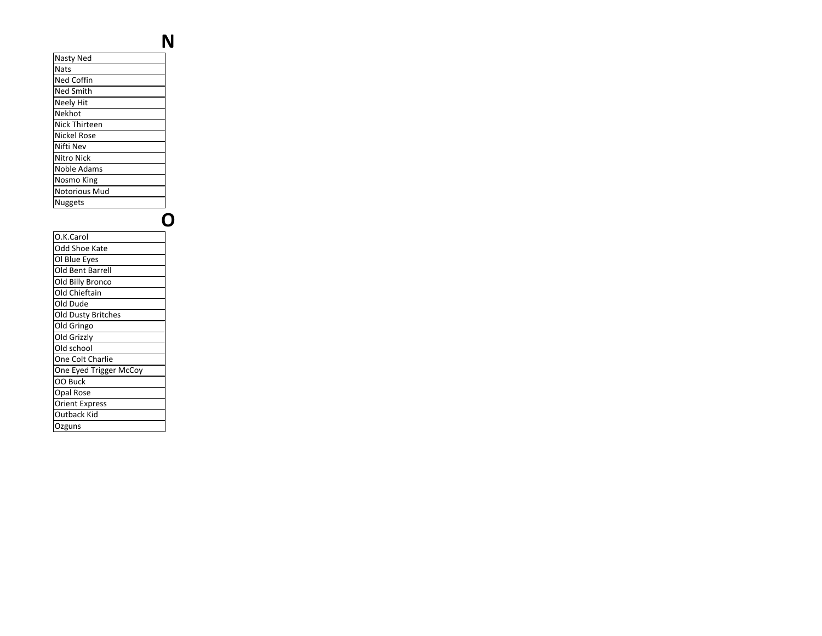| Nasty Ned         |
|-------------------|
| <b>Nats</b>       |
| <b>Ned Coffin</b> |
| <b>Ned Smith</b>  |
| <b>Neely Hit</b>  |
| Nekhot            |
| Nick Thirteen     |
| Nickel Rose       |
| Nifti Nev         |
| Nitro Nick        |
| Noble Adams       |
| Nosmo King        |
| Notorious Mud     |
| <b>Nuggets</b>    |
|                   |
|                   |
| O.K.Carol         |
| Odd Shoe Kate     |
| Ol Blue Eyes      |
| Old Bent Barrell  |
| Old Billy Bronco  |

O

N

Old ChieftainOld Dude

OO Buck Opal RoseOrient Express Outback Kid

**Ozguns** 

 Old Dusty BritchesOld Gringo Old Grizzly Old school One Colt CharlieOne Eyed Trigger McCoy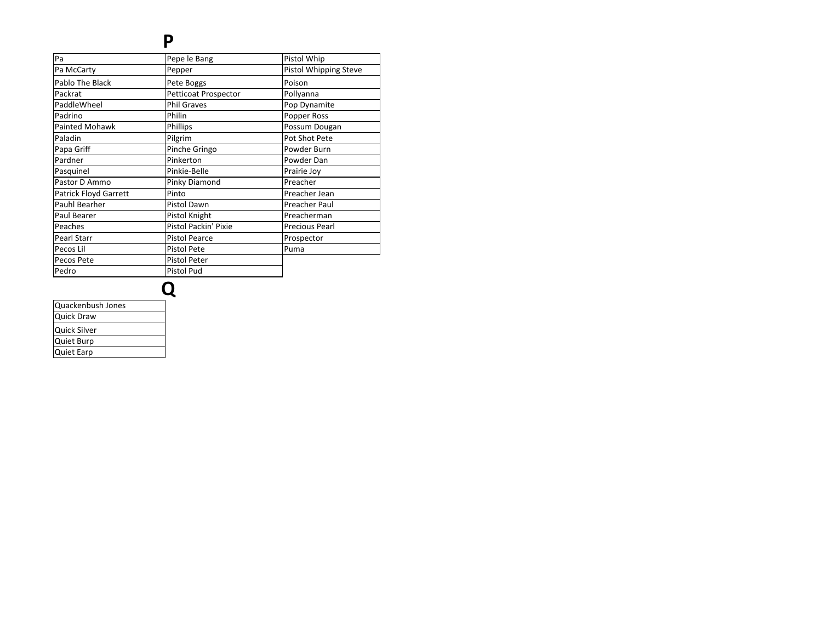#### P

| Pa                           | Pepe le Bang         | Pistol Whip           |
|------------------------------|----------------------|-----------------------|
| Pa McCarty                   | Pepper               | Pistol Whipping Steve |
| Pablo The Black              | Pete Boggs           | Poison                |
| Packrat                      | Petticoat Prospector | Pollyanna             |
| PaddleWheel                  | <b>Phil Graves</b>   | Pop Dynamite          |
| Padrino                      | Philin               | Popper Ross           |
| <b>Painted Mohawk</b>        | Phillips             | Possum Dougan         |
| Paladin                      | Pilgrim              | Pot Shot Pete         |
| Papa Griff                   | Pinche Gringo        | Powder Burn           |
| Pardner                      | Pinkerton            | Powder Dan            |
| Pasquinel                    | Pinkie-Belle         | Prairie Joy           |
| Pastor D Ammo                | Pinky Diamond        | Preacher              |
| <b>Patrick Floyd Garrett</b> | Pinto                | Preacher Jean         |
| Pauhl Bearher                | Pistol Dawn          | Preacher Paul         |
| Paul Bearer                  | Pistol Knight        | Preacherman           |
| Peaches                      | Pistol Packin' Pixie | <b>Precious Pearl</b> |
| Pearl Starr                  | <b>Pistol Pearce</b> | Prospector            |
| Pecos Lil                    | <b>Pistol Pete</b>   | Puma                  |
| Pecos Pete                   | <b>Pistol Peter</b>  |                       |
| Pedro                        | <b>Pistol Pud</b>    |                       |
|                              |                      |                       |
|                              |                      |                       |
|                              |                      |                       |

| Quackenbush Jones |  |
|-------------------|--|
| <b>Quick Draw</b> |  |
| Quick Silver      |  |
| Quiet Burp        |  |
| <b>Quiet Earp</b> |  |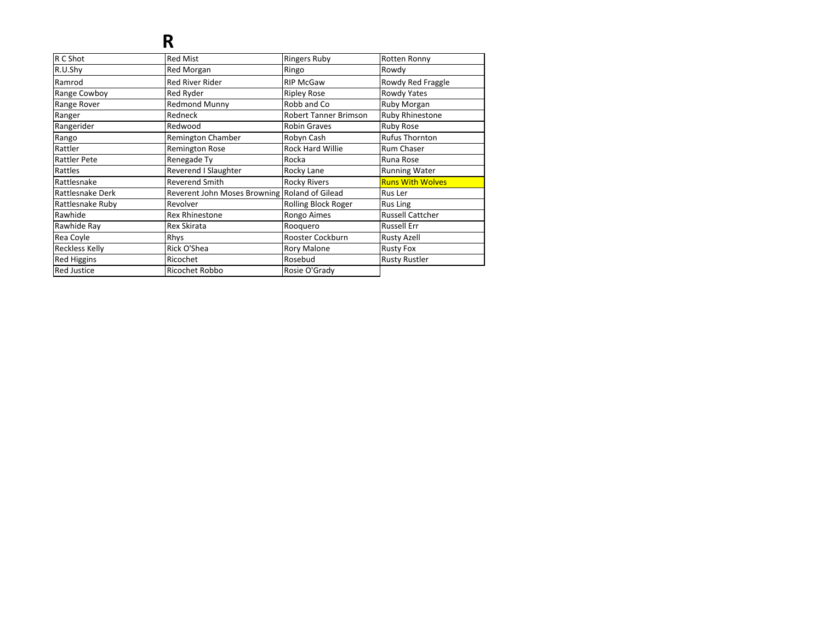## R

| R C Shot              | <b>Red Mist</b>                               | <b>Ringers Ruby</b>          | Rotten Ronny            |
|-----------------------|-----------------------------------------------|------------------------------|-------------------------|
| R.U.Shy               | Red Morgan                                    | Ringo                        | Rowdy                   |
| Ramrod                | <b>Red River Rider</b>                        | <b>RIP McGaw</b>             | Rowdy Red Fraggle       |
| Range Cowboy          | Red Ryder                                     | <b>Ripley Rose</b>           | Rowdy Yates             |
| Range Rover           | <b>Redmond Munny</b>                          | Robb and Co                  | Ruby Morgan             |
| Ranger                | Redneck                                       | <b>Robert Tanner Brimson</b> | Ruby Rhinestone         |
| Rangerider            | Redwood                                       | <b>Robin Graves</b>          | Ruby Rose               |
| Rango                 | Remington Chamber                             | Robyn Cash                   | Rufus Thornton          |
| Rattler               | <b>Remington Rose</b>                         | <b>Rock Hard Willie</b>      | <b>Rum Chaser</b>       |
| Rattler Pete          | Renegade Ty                                   | Rocka                        | Runa Rose               |
| Rattles               | Reverend I Slaughter                          | Rocky Lane                   | <b>Running Water</b>    |
| Rattlesnake           | <b>Reverend Smith</b>                         | <b>Rocky Rivers</b>          | <b>Runs With Wolves</b> |
| Rattlesnake Derk      | Reverent John Moses Browning Roland of Gilead |                              | Rus Ler                 |
| Rattlesnake Ruby      | Revolver                                      | <b>Rolling Block Roger</b>   | Rus Ling                |
| Rawhide               | <b>Rex Rhinestone</b>                         | Rongo Aimes                  | <b>Russell Cattcher</b> |
| Rawhide Ray           | Rex Skirata                                   | Rooquero                     | Russell Err             |
| Rea Coyle             | Rhys                                          | Rooster Cockburn             | <b>Rusty Azell</b>      |
| <b>Reckless Kelly</b> | Rick O'Shea                                   | <b>Rory Malone</b>           | <b>Rusty Fox</b>        |
| <b>Red Higgins</b>    | Ricochet                                      | Rosebud                      | <b>Rusty Rustler</b>    |
| <b>Red Justice</b>    | Ricochet Robbo                                | Rosie O'Grady                |                         |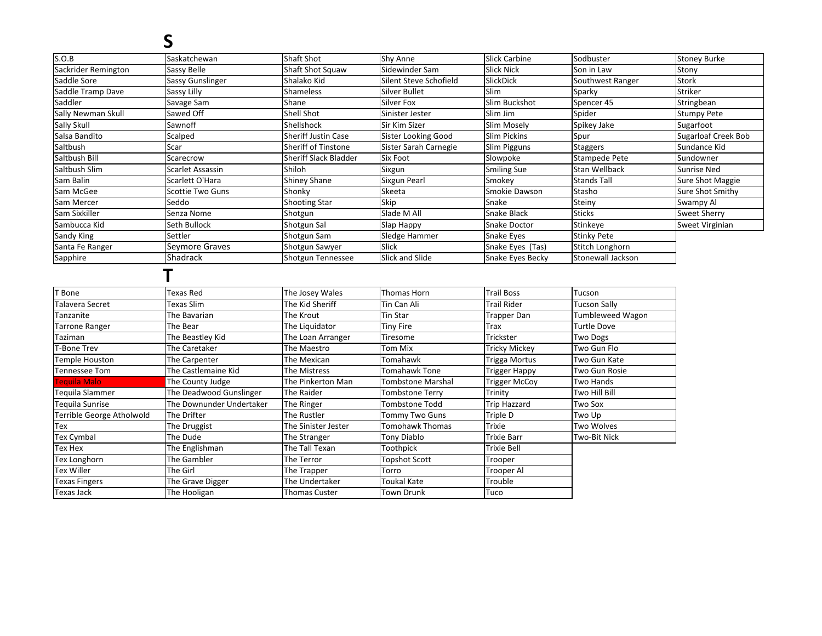## S

| S.O.B                     | Saskatchewan             | <b>Shaft Shot</b>          | <b>Shy Anne</b>          | <b>Slick Carbine</b> | Sodbuster           | <b>Stoney Burke</b>        |
|---------------------------|--------------------------|----------------------------|--------------------------|----------------------|---------------------|----------------------------|
| Sackrider Remington       | Sassy Belle              | Shaft Shot Squaw           | Sidewinder Sam           | <b>Slick Nick</b>    | Son in Law          | Stony                      |
| Saddle Sore               | Sassy Gunslinger         | Shalako Kid                | Silent Steve Schofield   | SlickDick            | Southwest Ranger    | Stork                      |
| Saddle Tramp Dave         | Sassy Lilly              | <b>Shameless</b>           | <b>Silver Bullet</b>     | Slim                 | Sparky              | Striker                    |
| Saddler                   | Savage Sam               | Shane                      | Silver Fox               | Slim Buckshot        | Spencer 45          | Stringbean                 |
| Sally Newman Skull        | Sawed Off                | <b>Shell Shot</b>          | Sinister Jester          | Slim Jim             | Spider              | <b>Stumpy Pete</b>         |
| Sally Skull               | Sawnoff                  | Shellshock                 | Sir Kim Sizer            | Slim Mosely          | Spikey Jake         | Sugarfoot                  |
| Salsa Bandito             | Scalped                  | <b>Sheriff Justin Case</b> | Sister Looking Good      | <b>Slim Pickins</b>  | Spur                | <b>Sugarloaf Creek Bob</b> |
| Saltbush                  | Scar                     | Sheriff of Tinstone        | Sister Sarah Carnegie    | Slim Pigguns         | <b>Staggers</b>     | Sundance Kid               |
| Saltbush Bill             | Scarecrow                | Sheriff Slack Bladder      | Six Foot                 | Slowpoke             | Stampede Pete       | Sundowner                  |
| Saltbush Slim             | Scarlet Assassin         | Shiloh                     | Sixgun                   | <b>Smiling Sue</b>   | Stan Wellback       | <b>Sunrise Ned</b>         |
| Sam Balin                 | Scarlett O'Hara          | <b>Shiney Shane</b>        | Sixgun Pearl             | Smokey               | <b>Stands Tall</b>  | <b>Sure Shot Maggie</b>    |
| Sam McGee                 | Scottie Two Guns         | Shonky                     | Skeeta                   | Smokie Dawson        | Stasho              | Sure Shot Smithy           |
| Sam Mercer                | Seddo                    | <b>Shooting Star</b>       | Skip                     | Snake                | Steiny              | Swampy Al                  |
| Sam Sixkiller             | Senza Nome               | Shotgun                    | Slade M All              | Snake Black          | <b>Sticks</b>       | Sweet Sherry               |
| Sambucca Kid              | Seth Bullock             | Shotgun Sal                | Slap Happy               | Snake Doctor         | Stinkeye            | Sweet Virginian            |
| Sandy King                | Settler                  | Shotgun Sam                | Sledge Hammer            | Snake Eyes           | <b>Stinky Pete</b>  |                            |
| Santa Fe Ranger           | Seymore Graves           | Shotgun Sawyer             | Slick                    | Snake Eyes (Tas)     | Stitch Longhorn     |                            |
| Sapphire                  | Shadrack                 | Shotgun Tennessee          | Slick and Slide          | Snake Eyes Becky     | Stonewall Jackson   |                            |
|                           |                          |                            |                          |                      |                     |                            |
| <b>F</b> Bone             | <b>Texas Red</b>         | The Josey Wales            | Thomas Horn              | <b>Trail Boss</b>    | Tucson              |                            |
| Talavera Secret           | Texas Slim               | The Kid Sheriff            | Tin Can Ali              | Trail Rider          | <b>Tucson Sally</b> |                            |
| Tanzanite                 | The Bavarian             | The Krout                  | Tin Star                 | Trapper Dan          | Tumbleweed Wagon    |                            |
| <b>Tarrone Ranger</b>     | The Bear                 | The Liquidator             | <b>Tiny Fire</b>         | Trax                 | Turtle Dove         |                            |
| Taziman                   | The Beastley Kid         | The Loan Arranger          | Tiresome                 | Trickster            | <b>Two Dogs</b>     |                            |
| T-Bone Trev               | The Caretaker            | The Maestro                | Tom Mix                  | <b>Tricky Mickey</b> | Two Gun Flo         |                            |
| Temple Houston            | The Carpenter            | The Mexican                | Tomahawk                 | <b>Trigga Mortus</b> | Two Gun Kate        |                            |
| Tennessee Tom             | The Castlemaine Kid      | The Mistress               | Tomahawk Tone            | <b>Trigger Happy</b> | Two Gun Rosie       |                            |
| <b>Teguila Malo</b>       | The County Judge         | The Pinkerton Man          | <b>Tombstone Marshal</b> | <b>Trigger McCoy</b> | Two Hands           |                            |
| Teguila Slammer           | The Deadwood Gunslinger  | The Raider                 | Tombstone Terry          | Trinity              | Two Hill Bill       |                            |
| Teguila Sunrise           | The Downunder Undertaker | The Ringer                 | <b>Tombstone Todd</b>    | <b>Trip Hazzard</b>  | Two Sox             |                            |
| Terrible George Atholwold | The Drifter              | The Rustler                | Γommγ Two Guns           | Triple D             | Two Up              |                            |
| Гех                       | The Druggist             | The Sinister Jester        | Tomohawk Thomas          | <b>Trixie</b>        | Two Wolves          |                            |
| Tex Cymbal                | The Dude                 | The Stranger               | Tony Diablo              | <b>Trixie Barr</b>   | Two-Bit Nick        |                            |
| Tex Hex                   | The Englishman           | The Tall Texan             | Toothpick                | Trixie Bell          |                     |                            |
| Tex Longhorn              | The Gambler              | The Terror                 | 「opshot Scott            | Trooper              |                     |                            |
| Tex Willer                | The Girl                 | The Trapper                | Torro                    | Trooper Al           |                     |                            |
| <b>Texas Fingers</b>      | The Grave Digger         | The Undertaker             | <b>Toukal Kate</b>       | Trouble              |                     |                            |
| Texas Jack                | The Hooligan             | <b>Thomas Custer</b>       | Town Drunk               | Tuco                 |                     |                            |
|                           |                          |                            |                          |                      |                     |                            |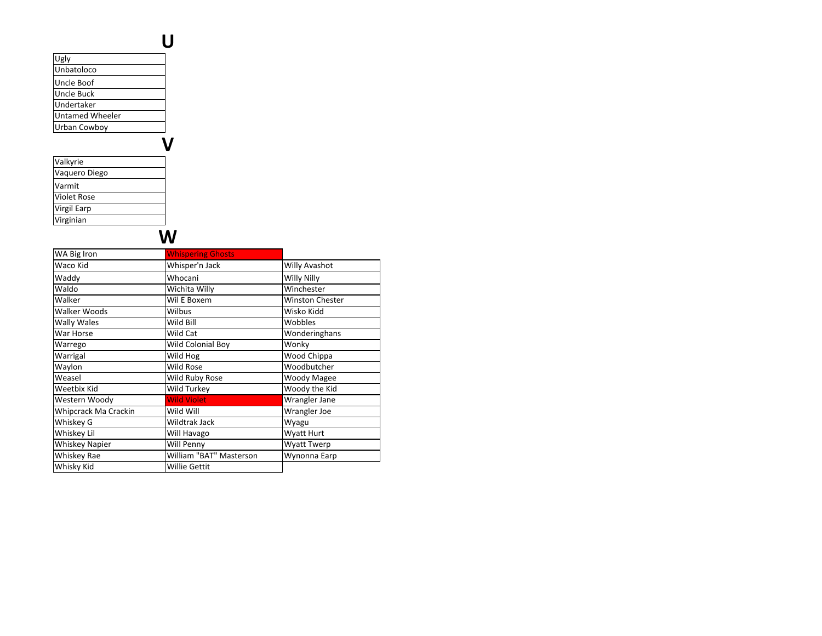| Ugly                   |  |
|------------------------|--|
| Unbatoloco             |  |
| Uncle Boof             |  |
| Uncle Buck             |  |
| Undertaker             |  |
| <b>Untamed Wheeler</b> |  |
| Urban Cowboy           |  |
|                        |  |
| Valkyrie               |  |
| Vaquero Diego          |  |
| Varmit                 |  |
| <b>Violet Rose</b>     |  |
| <b>Virgil Earp</b>     |  |
| Virginian              |  |

# $\vec{\mathsf{w}}$

| Whisper'n Jack          |                        |
|-------------------------|------------------------|
|                         | Willy Avashot          |
| Whocani                 | Willy Nilly            |
| Wichita Willy           | Winchester             |
| Wil E Boxem             | <b>Winston Chester</b> |
| Wilbus                  | Wisko Kidd             |
| Wild Bill               | Wobbles                |
| Wild Cat                | Wonderinghans          |
| Wild Colonial Boy       | Wonky                  |
| Wild Hog                | Wood Chippa            |
| Wild Rose               | Woodbutcher            |
| Wild Ruby Rose          | <b>Woody Magee</b>     |
| Wild Turkey             | Woody the Kid          |
| <b>Wild Violet</b>      | Wrangler Jane          |
| Wild Will               | Wrangler Joe           |
| Wildtrak Jack           | Wyagu                  |
| Will Havago             | Wyatt Hurt             |
| Will Penny              | Wyatt Twerp            |
| William "BAT" Masterson | Wynonna Earp           |
| <b>Willie Gettit</b>    |                        |
|                         |                        |